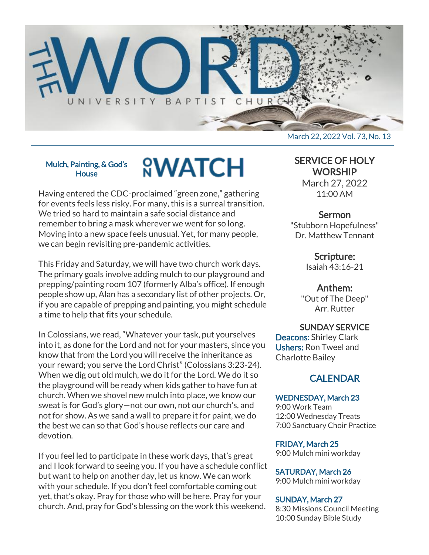

### Mulch, Painting, & God's **House**

# **<sup><u>O</sup>WATCH</u>**</sup>

Having entered the CDC-proclaimed "green zone," gathering for events feels less risky. For many, this is a surreal transition. We tried so hard to maintain a safe social distance and remember to bring a mask wherever we went for so long. Moving into a new space feels unusual. Yet, for many people, we can begin revisiting pre-pandemic activities.

This Friday and Saturday, we will have two church work days. The primary goals involve adding mulch to our playground and prepping/painting room 107 (formerly Alba's office). If enough people show up, Alan has a secondary list of other projects. Or, if you are capable of prepping and painting, you might schedule a time to help that fits your schedule.

In Colossians, we read, "Whatever your task, put yourselves into it, as done for the Lord and not for your masters, since you know that from the Lord you will receive the inheritance as your reward; you serve the Lord Christ" (Colossians 3:23-24). When we dig out old mulch, we do it for the Lord. We do it so the playground will be ready when kids gather to have fun at church. When we shovel new mulch into place, we know our sweat is for God's glory—not our own, not our church's, and not for show. As we sand a wall to prepare it for paint, we do the best we can so that God's house reflects our care and devotion.

If you feel led to participate in these work days, that's great and I look forward to seeing you. If you have a schedule conflict but want to help on another day, let us know. We can work with your schedule. If you don't feel comfortable coming out yet, that's okay. Pray for those who will be here. Pray for your church. And, pray for God's blessing on the work this weekend.

SERVICE OF HOLY **WORSHIP** 

> March 27, 2022 11:00 AM

## Sermon

"Stubborn Hopefulness" Dr. Matthew Tennant

> Scripture: Isaiah 43:16-21

> > Anthem:

"Out of The Deep" Arr. Rutter

SUNDAY SERVICE

Deacons: Shirley Clark Ushers: Ron Tweel and Charlotte Bailey

# **CALENDAR**

## WEDNESDAY, March 23

9:00 Work Team 12:00 Wednesday Treats 7:00 Sanctuary Choir Practice

FRIDAY, March 25 9:00 Mulch mini workday

SATURDAY, March 26

9:00 Mulch mini workday

## SUNDAY, March 27

8:30 Missions Council Meeting 10:00 Sunday Bible Study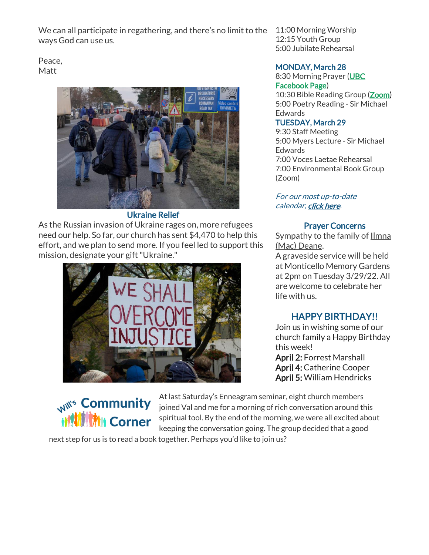We can all participate in regathering, and there's no limit to the ways God can use us.

Peace, Matt



## Ukraine Relief

As the Russian invasion of Ukraine rages on, more refugees need our help. So far, our church has sent \$4,470 to help this effort, and we plan to send more. If you feel led to support this mission, designate your gift "Ukraine."



**Mill's Community Mil Corner** 

At last Saturday's Enneagram seminar, eight church members joined Val and me for a morning of rich conversation around this spiritual tool. By the end of the morning, we were all excited about keeping the conversation going. The group decided that a good

next step for us is to read a book together. Perhaps you'd like to join us?

11:00 Morning Worship 12:15 Youth Group 5:00 Jubilate Rehearsal

## MONDAY, March 28

8:30 Morning Prayer [\(UBC](https://www.facebook.com/UniversityBaptistChurchCharlottesville) [Facebook Page\)](https://www.facebook.com/UniversityBaptistChurchCharlottesville) 10:30 Bible Reading Group [\(Zoom\)](https://us02web.zoom.us/j/85381408096?pwd=MzdkVG9JZ2x0M2JFK01KNlNjSWtqUT09)

5:00 Poetry Reading - Sir Michael **Edwards** 

## TUESDAY, March 29

9:30 Staff Meeting 5:00 Myers Lecture - Sir Michael Edwards 7:00 Voces Laetae Rehearsal 7:00 Environmental Book Group (Zoom)

For our most up-to-date calendar, [click here.](https://universitybaptist.org/calendar/)

## Prayer Concerns

Sympathy to the family of **Ilmna** (Mac) Deane.

A graveside service will be held at Monticello Memory Gardens at 2pm on Tuesday 3/29/22. All are welcome to celebrate her life with us.

# HAPPY BIRTHDAY!!

Join us in wishing some of our church family a Happy Birthday this week!

April 2: Forrest Marshall April 4: Catherine Cooper April 5: William Hendricks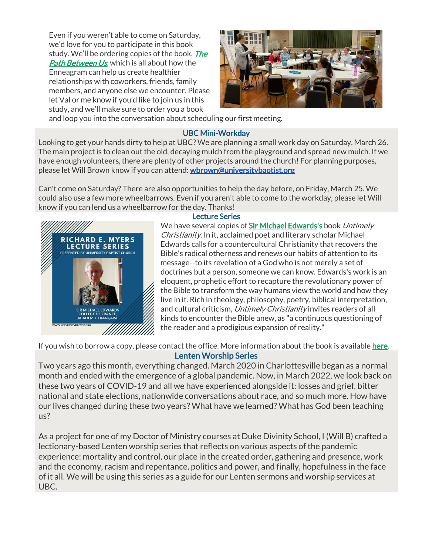Even if you weren't able to come on Saturday, we'd love for you to participate in this book study. We'll be ordering copies of the book, *The* **[Path Between Us](https://www.amazon.com/Path-Between-Us-Enneagram-Relationships/dp/0830846425), which is all about how the** Enneagram can help us create healthier relationships with coworkers, friends, family members, and anyone else we encounter. Please let Val or me know if you'd like to join us in this study, and we'll make sure to order you a book



and loop you into the conversation about scheduling our first meeting.

## UBC Mini-Workday

Looking to get your hands dirty to help at UBC? We are planning a small work day on Saturday, March 26. The main project is to clean out the old, decaying mulch from the playground and spread new mulch. If we have enough volunteers, there are plenty of other projects around the church! For planning purposes, please let Will Brown know if you can attend: [wbrown@universitybaptist.org](mailto:wbrown@universitybaptist.org)

Can't come on Saturday? There are also opportunities to help the day before, on Friday, March 25. We could also use a few more wheelbarrows. Even if you aren't able to come to the workday, please let Will know if you can lend us a wheelbarrow for the day. Thanks!



## Lecture Series

We have several copies of [Sir Michael Edwards'](https://en.wikipedia.org/wiki/Michael_Edwards_(literary_scholar))s book Untimely Christianity. In it, acclaimed poet and literary scholar Michael Edwards calls for a countercultural Christianity that recovers the Bible's radical otherness and renews our habits of attention to its message--to its revelation of a God who is not merely a set of doctrines but a person, someone we can know. Edwards's work is an eloquent, prophetic effort to recapture the revolutionary power of the Bible to transform the way humans view the world and how they live in it. Rich in theology, philosophy, poetry, biblical interpretation, and cultural criticism, Untimely Christianity invites readers of all kinds to encounter the Bible anew, as "a continuous questioning of the reader and a prodigious expansion of reality."

If you wish to borrow a copy, please contact the office. More information about the book is available [here.](https://www.fortresspress.com/store/product/9781506480879/Untimely-Christianity)

## Lenten Worship Series

Two years ago this month, everything changed. March 2020 in Charlottesville began as a normal month and ended with the emergence of a global pandemic. Now, in March 2022, we look back on these two years of COVID-19 and all we have experienced alongside it: losses and grief, bitter national and state elections, nationwide conversations about race, and so much more. How have our lives changed during these two years? What have we learned? What has God been teaching us?

As a project for one of my Doctor of Ministry courses at Duke Divinity School, I (Will B) crafted a lectionary-based Lenten worship series that reflects on various aspects of the pandemic experience: mortality and control, our place in the created order, gathering and presence, work and the economy, racism and repentance, politics and power, and finally, hopefulness in the face of it all. We will be using this series as a guide for our Lenten sermons and worship services at UBC.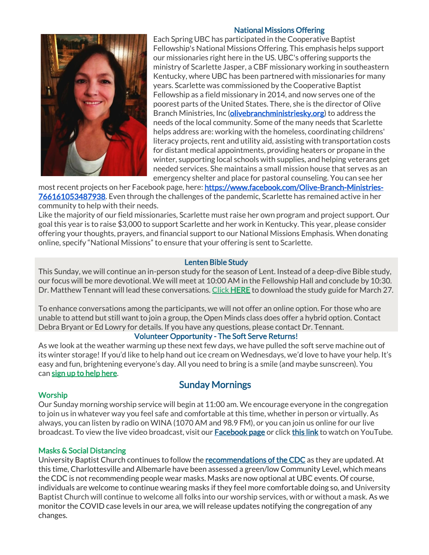## National Missions Offering



Each Spring UBC has participated in the Cooperative Baptist Fellowship's National Missions Offering. This emphasis helps support our missionaries right here in the US. UBC's offering supports the ministry of Scarlette Jasper, a CBF missionary working in southeastern Kentucky, where UBC has been partnered with missionaries for many years. Scarlette was commissioned by the Cooperative Baptist Fellowship as a field missionary in 2014, and now serves one of the poorest parts of the United States. There, she is the director of Olive Branch Ministries, Inc [\(olivebranchministriesky.org\)](http://olivebranchministriesky.org/) to address the needs of the local community. Some of the many needs that Scarlette helps address are: working with the homeless, coordinating childrens' literacy projects, rent and utility aid, assisting with transportation costs for distant medical appointments, providing heaters or propane in the winter, supporting local schools with supplies, and helping veterans get needed services. She maintains a small mission house that serves as an emergency shelter and place for pastoral counseling. You can see her

most recent projects on her Facebook page, here: [https://www.facebook.com/Olive-Branch-Ministries-](https://www.facebook.com/Olive-Branch-Ministries-766161053487938)[766161053487938.](https://www.facebook.com/Olive-Branch-Ministries-766161053487938) Even through the challenges of the pandemic, Scarlette has remained active in her community to help with their needs.

Like the majority of our field missionaries, Scarlette must raise her own program and project support. Our goal this year is to raise \$3,000 to support Scarlette and her work in Kentucky. This year, please consider offering your thoughts, prayers, and financial support to our National Missions Emphasis. When donating online, specify "National Missions" to ensure that your offering is sent to Scarlette.

## Lenten Bible Study

This Sunday, we will continue an in-person study for the season of Lent. Instead of a deep-dive Bible study, our focus will be more devotional. We will meet at 10:00 AM in the Fellowship Hall and conclude by 10:30. Dr. Matthew Tennant will lead these conversations. [Click](https://universitybaptist.org/wp-content/uploads/2022/03/Session4.pdf) [HERE](https://universitybaptist.org/wp-content/uploads/2022/03/Session4.pdf) to download the study guide for March 27.

To enhance conversations among the participants, we will not offer an online option. For those who are unable to attend but still want to join a group, the Open Minds class does offer a hybrid option. Contact Debra Bryant or Ed Lowry for details. If you have any questions, please contact Dr. Tennant.

### Volunteer Opportunity - The Soft Serve Returns!

As we look at the weather warming up these next few days, we have pulled the soft serve machine out of its winter storage! If you'd like to help hand out ice cream on Wednesdays, we'd love to have your help. It's easy and fun, brightening everyone's day. All you need to bring is a smile (and maybe sunscreen). You can [sign up to help here.](https://docs.google.com/document/d/1KBkQTR3x3nmWKJ1rSoSU74-feVbhhp7ucWTPgBpxmYE/edit?usp=sharing)

# Sunday Mornings

### **Worship**

Our Sunday morning worship service will begin at 11:00 am. We encourage everyone in the congregation to join us in whatever way you feel safe and comfortable at this time, whether in person or virtually. As always, you can listen by radio on WINA (1070 AM and 98.9 FM), or you can join us online for our live broadcast. To view the live video broadcast, visit our [Facebook page](https://www.facebook.com/UniversityBaptistChurchCharlottesville/) or click [this link](https://www.youtube.com/c/UniversityBaptistChurchCharlottesville/live) to watch on YouTube.

### Masks & Social Distancing

University Baptist Church continues to follow the [recommendations of the CDC](https://www.cdc.gov/coronavirus/2019-ncov/your-health/covid-by-county.html) as they are updated. At this time, Charlottesville and Albemarle have been assessed a green/low Community Level, which means the CDC is not recommending people wear masks. Masks are now optional at UBC events. Of course, individuals are welcome to continue wearing masks if they feel more comfortable doing so, and University Baptist Church will continue to welcome all folks into our worship services, with or without a mask. As we monitor the COVID case levels in our area, we will release updates notifying the congregation of any changes.